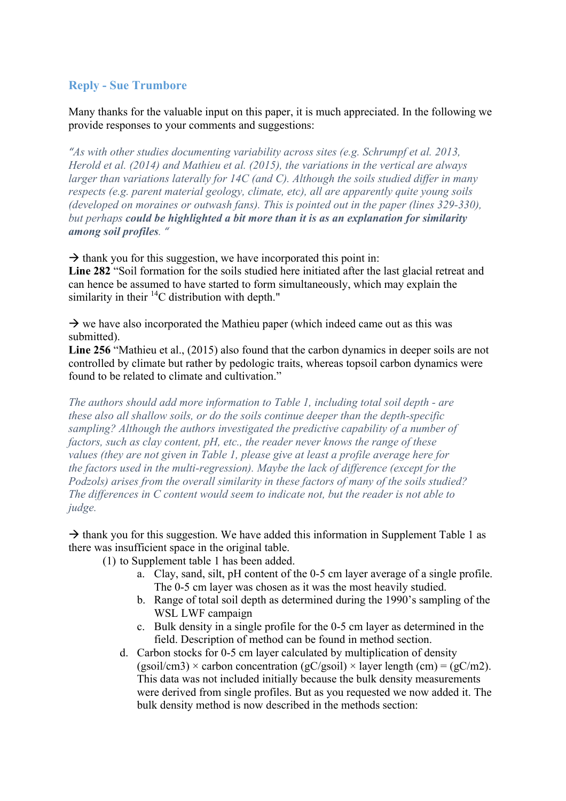# **Reply - Sue Trumbore**

Many thanks for the valuable input on this paper, it is much appreciated. In the following we provide responses to your comments and suggestions:

*"As with other studies documenting variability across sites (e.g. Schrumpf et al. 2013, Herold et al. (2014) and Mathieu et al. (2015), the variations in the vertical are always larger than variations laterally for 14C (and C). Although the soils studied differ in many respects (e.g. parent material geology, climate, etc), all are apparently quite young soils (developed on moraines or outwash fans). This is pointed out in the paper (lines 329-330), but perhaps could be highlighted a bit more than it is as an explanation for similarity among soil profiles. "* 

 $\rightarrow$  thank you for this suggestion, we have incorporated this point in: **Line 282** "Soil formation for the soils studied here initiated after the last glacial retreat and can hence be assumed to have started to form simultaneously, which may explain the

 $\rightarrow$  we have also incorporated the Mathieu paper (which indeed came out as this was submitted).

**Line 256** "Mathieu et al., (2015) also found that the carbon dynamics in deeper soils are not controlled by climate but rather by pedologic traits, whereas topsoil carbon dynamics were found to be related to climate and cultivation."

*The authors should add more information to Table 1, including total soil depth - are these also all shallow soils, or do the soils continue deeper than the depth-specific sampling? Although the authors investigated the predictive capability of a number of factors, such as clay content, pH, etc., the reader never knows the range of these values (they are not given in Table 1, please give at least a profile average here for the factors used in the multi-regression). Maybe the lack of difference (except for the Podzols) arises from the overall similarity in these factors of many of the soils studied? The differences in C content would seem to indicate not, but the reader is not able to judge.*

 $\rightarrow$  thank you for this suggestion. We have added this information in Supplement Table 1 as there was insufficient space in the original table.

(1) to Supplement table 1 has been added.

similarity in their  ${}^{14}C$  distribution with depth."

- a. Clay, sand, silt, pH content of the 0-5 cm layer average of a single profile. The 0-5 cm layer was chosen as it was the most heavily studied.
- b. Range of total soil depth as determined during the 1990's sampling of the WSL LWF campaign
- c. Bulk density in a single profile for the 0-5 cm layer as determined in the field. Description of method can be found in method section.
- d. Carbon stocks for 0-5 cm layer calculated by multiplication of density  $(gsoil/cm3) \times carbon concentration (gC/gsoil) \times layer length (cm) = (gC/m2).$ This data was not included initially because the bulk density measurements were derived from single profiles. But as you requested we now added it. The bulk density method is now described in the methods section: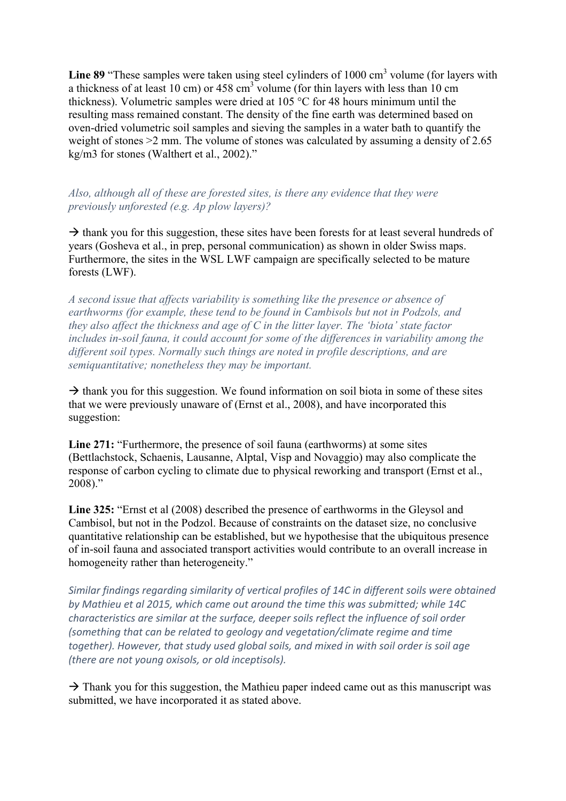Line 89 "These samples were taken using steel cylinders of 1000 cm<sup>3</sup> volume (for layers with a thickness of at least 10 cm) or  $458 \text{ cm}^3$  volume (for thin layers with less than 10 cm thickness). Volumetric samples were dried at 105 °C for 48 hours minimum until the resulting mass remained constant. The density of the fine earth was determined based on oven-dried volumetric soil samples and sieving the samples in a water bath to quantify the weight of stones >2 mm. The volume of stones was calculated by assuming a density of 2.65 kg/m3 for stones (Walthert et al., 2002)."

*Also, although all of these are forested sites, is there any evidence that they were previously unforested (e.g. Ap plow layers)?*

 $\rightarrow$  thank you for this suggestion, these sites have been forests for at least several hundreds of years (Gosheva et al., in prep, personal communication) as shown in older Swiss maps. Furthermore, the sites in the WSL LWF campaign are specifically selected to be mature forests (LWF).

*A second issue that affects variability is something like the presence or absence of earthworms (for example, these tend to be found in Cambisols but not in Podzols, and they also affect the thickness and age of C in the litter layer. The 'biota' state factor includes in-soil fauna, it could account for some of the differences in variability among the different soil types. Normally such things are noted in profile descriptions, and are semiquantitative; nonetheless they may be important.* 

 $\rightarrow$  thank you for this suggestion. We found information on soil biota in some of these sites that we were previously unaware of (Ernst et al., 2008), and have incorporated this suggestion:

**Line 271:** "Furthermore, the presence of soil fauna (earthworms) at some sites (Bettlachstock, Schaenis, Lausanne, Alptal, Visp and Novaggio) may also complicate the response of carbon cycling to climate due to physical reworking and transport (Ernst et al., 2008)."

**Line 325:** "Ernst et al (2008) described the presence of earthworms in the Gleysol and Cambisol, but not in the Podzol. Because of constraints on the dataset size, no conclusive quantitative relationship can be established, but we hypothesise that the ubiquitous presence of in-soil fauna and associated transport activities would contribute to an overall increase in homogeneity rather than heterogeneity."

Similar findings regarding similarity of vertical profiles of 14C in different soils were obtained by Mathieu et al 2015, which came out around the time this was submitted; while 14C *characteristics are similar at the surface, deeper soils reflect the influence of soil order (something that can be related to geology and vegetation/climate regime and time* together). However, that study used global soils, and mixed in with soil order is soil age *(there are not young oxisols, or old inceptisols).* 

 $\rightarrow$  Thank you for this suggestion, the Mathieu paper indeed came out as this manuscript was submitted, we have incorporated it as stated above.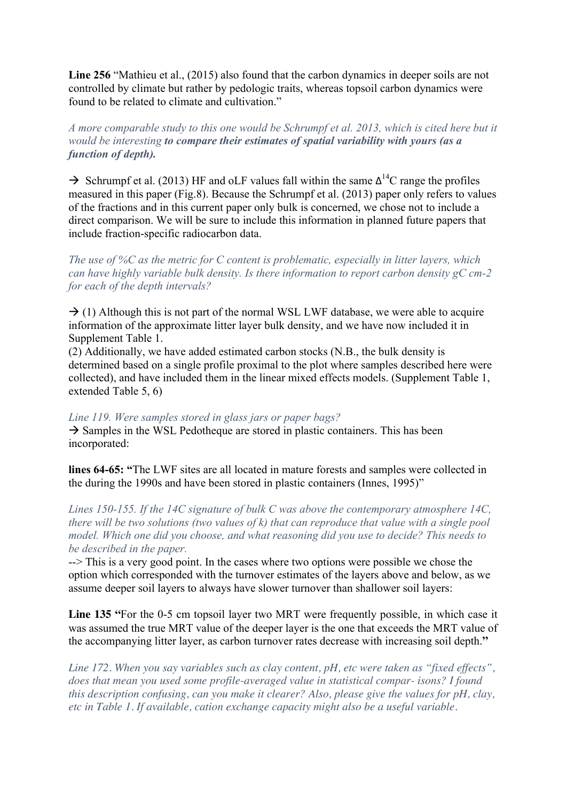**Line 256** "Mathieu et al., (2015) also found that the carbon dynamics in deeper soils are not controlled by climate but rather by pedologic traits, whereas topsoil carbon dynamics were found to be related to climate and cultivation."

*A more comparable study to this one would be Schrumpf et al. 2013, which is cited here but it would be interesting to compare their estimates of spatial variability with yours (as a function of depth).* 

 $\rightarrow$  Schrumpf et al. (2013) HF and oLF values fall within the same  $\Delta^{14}$ C range the profiles measured in this paper (Fig.8). Because the Schrumpf et al. (2013) paper only refers to values of the fractions and in this current paper only bulk is concerned, we chose not to include a direct comparison. We will be sure to include this information in planned future papers that include fraction-specific radiocarbon data.

*The use of %C as the metric for C content is problematic, especially in litter layers, which can have highly variable bulk density. Is there information to report carbon density gC cm-2 for each of the depth intervals?* 

 $\rightarrow$  (1) Although this is not part of the normal WSL LWF database, we were able to acquire information of the approximate litter layer bulk density, and we have now included it in Supplement Table 1.

(2) Additionally, we have added estimated carbon stocks (N.B., the bulk density is determined based on a single profile proximal to the plot where samples described here were collected), and have included them in the linear mixed effects models. (Supplement Table 1, extended Table 5, 6)

#### *Line 119. Were samples stored in glass jars or paper bags?*

 $\rightarrow$  Samples in the WSL Pedotheque are stored in plastic containers. This has been incorporated:

**lines 64-65: "**The LWF sites are all located in mature forests and samples were collected in the during the 1990s and have been stored in plastic containers (Innes, 1995)"

*Lines 150-155. If the 14C signature of bulk C was above the contemporary atmosphere 14C, there will be two solutions (two values of k) that can reproduce that value with a single pool model. Which one did you choose, and what reasoning did you use to decide? This needs to be described in the paper.* 

--> This is a very good point. In the cases where two options were possible we chose the option which corresponded with the turnover estimates of the layers above and below, as we assume deeper soil layers to always have slower turnover than shallower soil layers:

**Line 135 "**For the 0-5 cm topsoil layer two MRT were frequently possible, in which case it was assumed the true MRT value of the deeper layer is the one that exceeds the MRT value of the accompanying litter layer, as carbon turnover rates decrease with increasing soil depth.**"**

*Line 172. When you say variables such as clay content, pH, etc were taken as "fixed effects", does that mean you used some profile-averaged value in statistical compar- isons? I found this description confusing, can you make it clearer? Also, please give the values for pH, clay, etc in Table 1. If available, cation exchange capacity might also be a useful variable.*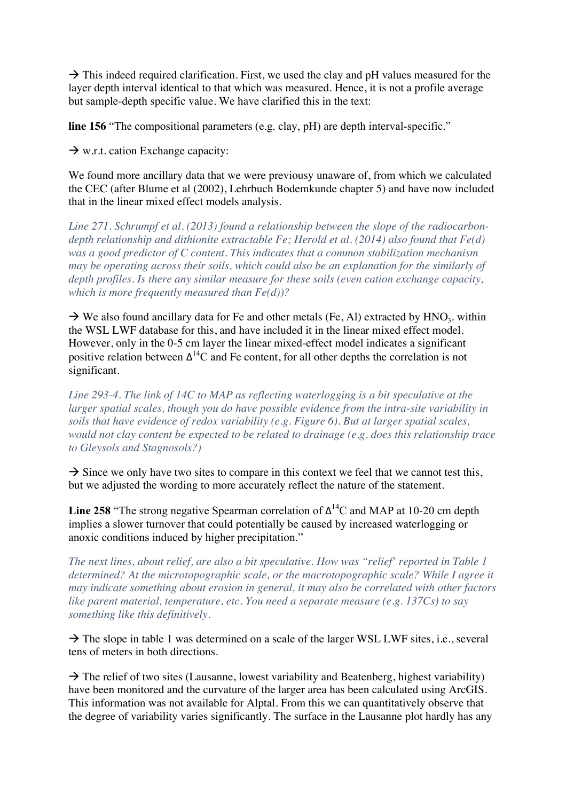$\rightarrow$  This indeed required clarification. First, we used the clay and pH values measured for the layer depth interval identical to that which was measured. Hence, it is not a profile average but sample-depth specific value. We have clarified this in the text:

**line 156** "The compositional parameters (e.g. clay, pH) are depth interval-specific."

 $\rightarrow$  w.r.t. cation Exchange capacity:

We found more ancillary data that we were previousy unaware of, from which we calculated the CEC (after Blume et al (2002), Lehrbuch Bodemkunde chapter 5) and have now included that in the linear mixed effect models analysis.

*Line 271. Schrumpf et al. (2013) found a relationship between the slope of the radiocarbondepth relationship and dithionite extractable Fe; Herold et al. (2014) also found that Fe(d) was a good predictor of C content. This indicates that a common stabilization mechanism may be operating across their soils, which could also be an explanation for the similarly of depth profiles. Is there any similar measure for these soils (even cation exchange capacity, which is more frequently measured than Fe(d))?* 

 $\rightarrow$  We also found ancillary data for Fe and other metals (Fe, Al) extracted by HNO<sub>3</sub>. within the WSL LWF database for this, and have included it in the linear mixed effect model. However, only in the 0-5 cm layer the linear mixed-effect model indicates a significant positive relation between  $\Delta^{14}$ C and Fe content, for all other depths the correlation is not significant.

*Line 293-4. The link of 14C to MAP as reflecting waterlogging is a bit speculative at the larger spatial scales, though you do have possible evidence from the intra-site variability in soils that have evidence of redox variability (e.g. Figure 6). But at larger spatial scales, would not clay content be expected to be related to drainage (e.g. does this relationship trace to Gleysols and Stagnosols?)* 

 $\rightarrow$  Since we only have two sites to compare in this context we feel that we cannot test this, but we adjusted the wording to more accurately reflect the nature of the statement.

**Line 258** "The strong negative Spearman correlation of  $\Delta^{14}$ C and MAP at 10-20 cm depth implies a slower turnover that could potentially be caused by increased waterlogging or anoxic conditions induced by higher precipitation."

*The next lines, about relief, are also a bit speculative. How was "relief' reported in Table 1 determined? At the microtopographic scale, or the macrotopographic scale? While I agree it may indicate something about erosion in general, it may also be correlated with other factors like parent material, temperature, etc. You need a separate measure (e.g. 137Cs) to say something like this definitively.* 

 $\rightarrow$  The slope in table 1 was determined on a scale of the larger WSL LWF sites, i.e., several tens of meters in both directions.

 $\rightarrow$  The relief of two sites (Lausanne, lowest variability and Beatenberg, highest variability) have been monitored and the curvature of the larger area has been calculated using ArcGIS. This information was not available for Alptal. From this we can quantitatively observe that the degree of variability varies significantly. The surface in the Lausanne plot hardly has any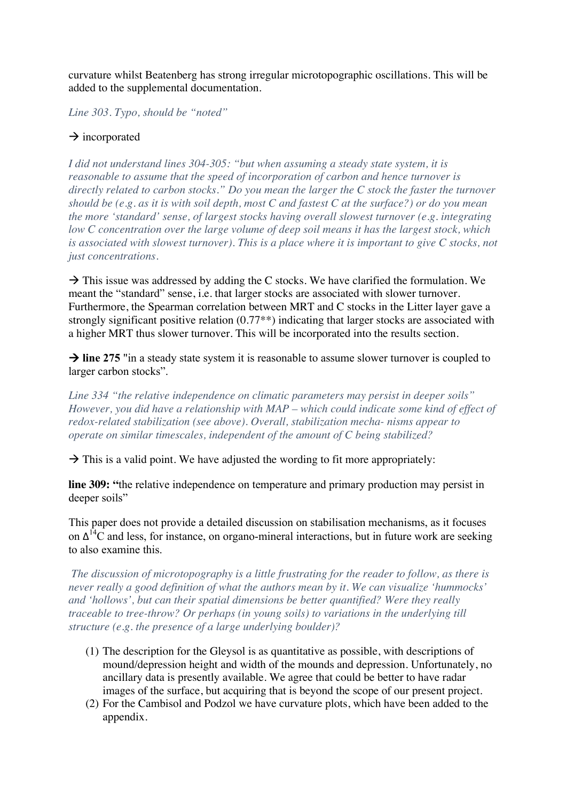curvature whilst Beatenberg has strong irregular microtopographic oscillations. This will be added to the supplemental documentation.

*Line 303. Typo, should be "noted"* 

# $\rightarrow$  incorporated

*I did not understand lines 304-305: "but when assuming a steady state system, it is reasonable to assume that the speed of incorporation of carbon and hence turnover is directly related to carbon stocks." Do you mean the larger the C stock the faster the turnover should be (e.g. as it is with soil depth, most C and fastest C at the surface?) or do you mean the more 'standard' sense, of largest stocks having overall slowest turnover (e.g. integrating low C concentration over the large volume of deep soil means it has the largest stock, which is associated with slowest turnover). This is a place where it is important to give C stocks, not just concentrations.* 

 $\rightarrow$  This issue was addressed by adding the C stocks. We have clarified the formulation. We meant the "standard" sense, i.e. that larger stocks are associated with slower turnover. Furthermore, the Spearman correlation between MRT and C stocks in the Litter layer gave a strongly significant positive relation (0.77\*\*) indicating that larger stocks are associated with a higher MRT thus slower turnover. This will be incorporated into the results section.

 $\rightarrow$  line 275 "in a steady state system it is reasonable to assume slower turnover is coupled to larger carbon stocks".

*Line 334 "the relative independence on climatic parameters may persist in deeper soils" However, you did have a relationship with MAP – which could indicate some kind of effect of redox-related stabilization (see above). Overall, stabilization mecha- nisms appear to operate on similar timescales, independent of the amount of C being stabilized?*

 $\rightarrow$  This is a valid point. We have adjusted the wording to fit more appropriately:

**line 309: "**the relative independence on temperature and primary production may persist in deeper soils"

This paper does not provide a detailed discussion on stabilisation mechanisms, as it focuses on  $\Delta^{14}$ C and less, for instance, on organo-mineral interactions, but in future work are seeking to also examine this.

*The discussion of microtopography is a little frustrating for the reader to follow, as there is never really a good definition of what the authors mean by it. We can visualize 'hummocks' and 'hollows', but can their spatial dimensions be better quantified? Were they really traceable to tree-throw? Or perhaps (in young soils) to variations in the underlying till structure (e.g. the presence of a large underlying boulder)?* 

- (1) The description for the Gleysol is as quantitative as possible, with descriptions of mound/depression height and width of the mounds and depression. Unfortunately, no ancillary data is presently available. We agree that could be better to have radar images of the surface, but acquiring that is beyond the scope of our present project.
- (2) For the Cambisol and Podzol we have curvature plots, which have been added to the appendix.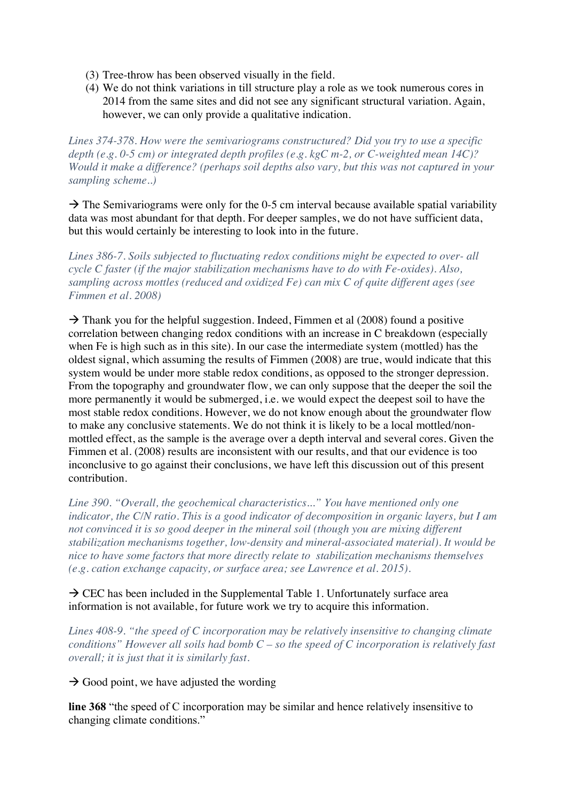- (3) Tree-throw has been observed visually in the field.
- (4) We do not think variations in till structure play a role as we took numerous cores in 2014 from the same sites and did not see any significant structural variation. Again, however, we can only provide a qualitative indication.

*Lines 374-378. How were the semivariograms constructured? Did you try to use a specific depth (e.g. 0-5 cm) or integrated depth profiles (e.g. kgC m-2, or C-weighted mean 14C)? Would it make a difference? (perhaps soil depths also vary, but this was not captured in your sampling scheme..)* 

 $\rightarrow$  The Semivariograms were only for the 0-5 cm interval because available spatial variability data was most abundant for that depth. For deeper samples, we do not have sufficient data, but this would certainly be interesting to look into in the future.

*Lines 386-7. Soils subjected to fluctuating redox conditions might be expected to over- all cycle C faster (if the major stabilization mechanisms have to do with Fe-oxides). Also, sampling across mottles (reduced and oxidized Fe) can mix C of quite different ages (see Fimmen et al. 2008)* 

 $\rightarrow$  Thank you for the helpful suggestion. Indeed, Fimmen et al (2008) found a positive correlation between changing redox conditions with an increase in C breakdown (especially when Fe is high such as in this site). In our case the intermediate system (mottled) has the oldest signal, which assuming the results of Fimmen (2008) are true, would indicate that this system would be under more stable redox conditions, as opposed to the stronger depression. From the topography and groundwater flow, we can only suppose that the deeper the soil the more permanently it would be submerged, i.e. we would expect the deepest soil to have the most stable redox conditions. However, we do not know enough about the groundwater flow to make any conclusive statements. We do not think it is likely to be a local mottled/nonmottled effect, as the sample is the average over a depth interval and several cores. Given the Fimmen et al. (2008) results are inconsistent with our results, and that our evidence is too inconclusive to go against their conclusions, we have left this discussion out of this present contribution.

*Line 390. "Overall, the geochemical characteristics..." You have mentioned only one indicator, the C/N ratio. This is a good indicator of decomposition in organic layers, but I am not convinced it is so good deeper in the mineral soil (though you are mixing different stabilization mechanisms together, low-density and mineral-associated material). It would be nice to have some factors that more directly relate to stabilization mechanisms themselves (e.g. cation exchange capacity, or surface area; see Lawrence et al. 2015).* 

## $\rightarrow$  CEC has been included in the Supplemental Table 1. Unfortunately surface area information is not available, for future work we try to acquire this information.

*Lines 408-9. "the speed of C incorporation may be relatively insensitive to changing climate conditions" However all soils had bomb C – so the speed of C incorporation is relatively fast overall; it is just that it is similarly fast.* 

 $\rightarrow$  Good point, we have adjusted the wording

**line 368** "the speed of C incorporation may be similar and hence relatively insensitive to changing climate conditions."